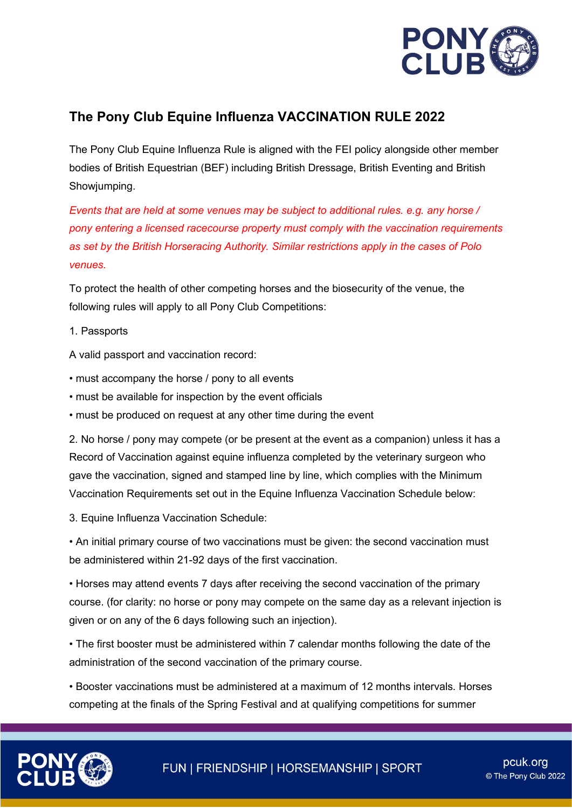

## **The Pony Club Equine Influenza VACCINATION RULE 2022**

The Pony Club Equine Influenza Rule is aligned with the FEI policy alongside other member bodies of British Equestrian (BEF) including British Dressage, British Eventing and British Showjumping.

*Events that are held at some venues may be subject to additional rules. e.g. any horse / pony entering a licensed racecourse property must comply with the vaccination requirements as set by the British Horseracing Authority. Similar restrictions apply in the cases of Polo venues.* 

To protect the health of other competing horses and the biosecurity of the venue, the following rules will apply to all Pony Club Competitions:

1. Passports

A valid passport and vaccination record:

- must accompany the horse / pony to all events
- must be available for inspection by the event officials
- must be produced on request at any other time during the event

2. No horse / pony may compete (or be present at the event as a companion) unless it has a Record of Vaccination against equine influenza completed by the veterinary surgeon who gave the vaccination, signed and stamped line by line, which complies with the Minimum Vaccination Requirements set out in the Equine Influenza Vaccination Schedule below:

3. Equine Influenza Vaccination Schedule:

• An initial primary course of two vaccinations must be given: the second vaccination must be administered within 21-92 days of the first vaccination.

• Horses may attend events 7 days after receiving the second vaccination of the primary course. (for clarity: no horse or pony may compete on the same day as a relevant injection is given or on any of the 6 days following such an injection).

• The first booster must be administered within 7 calendar months following the date of the administration of the second vaccination of the primary course.

• Booster vaccinations must be administered at a maximum of 12 months intervals. Horses competing at the finals of the Spring Festival and at qualifying competitions for summer